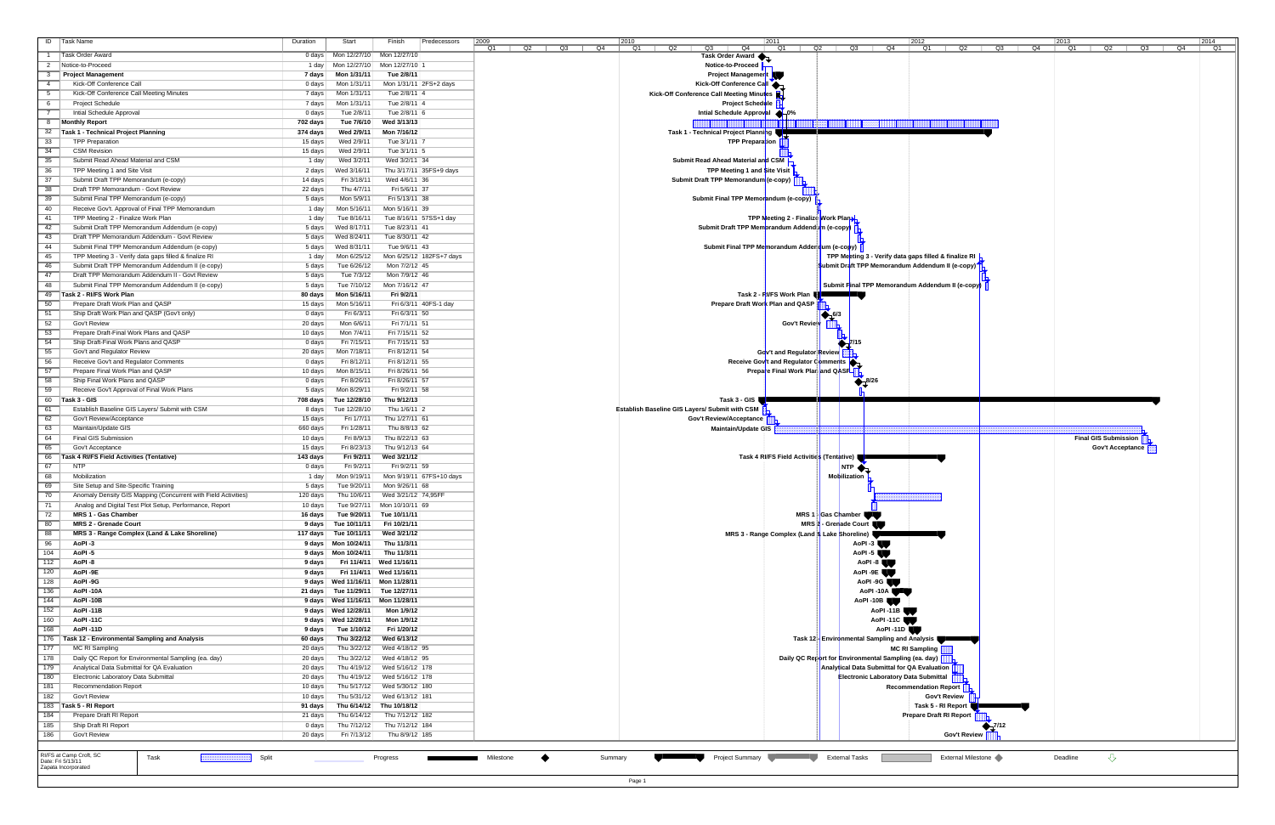| ID<br>Task Name                                                                                       | Start<br>Duration                               | Finish                                      | Predecessors             | 2009<br> 2010<br>2011<br>2012<br> 2013<br>2014<br>$Q2$ $Q3$ $Q4$<br>Q2<br>Q1<br>Q1<br>Q2   Q3   Q4<br>Q3<br>Q4<br>Q1<br>Q2   Q3<br>Q4<br>Q1<br>$Q2$ $Q3$<br>Q4<br>Q<br>Q1 |
|-------------------------------------------------------------------------------------------------------|-------------------------------------------------|---------------------------------------------|--------------------------|---------------------------------------------------------------------------------------------------------------------------------------------------------------------------|
| <b>Task Order Award</b>                                                                               | 0 days                                          | Mon 12/27/10 Mon 12/27/10                   |                          | Task Order Award                                                                                                                                                          |
| Notice-to-Proceed<br>$\overline{2}$                                                                   | 1 day                                           | Mon 12/27/10 Mon 12/27/10 1                 |                          | Notice-to-Proceed                                                                                                                                                         |
| <b>Project Management</b><br>- 3                                                                      | Mon 1/31/11<br>7 days                           | Tue 2/8/11                                  |                          | <b>Project Management</b>                                                                                                                                                 |
| Kick-Off Conference Call<br>$\overline{4}$                                                            | Mon 1/31/11<br>0 days                           |                                             | Mon 1/31/11 2FS+2 days   | Kick-Off Conference Call                                                                                                                                                  |
| 5<br>Kick-Off Conference Call Meeting Minutes                                                         | Mon 1/31/11<br>7 days                           | Tue 2/8/11 4                                |                          | Kick-Off Conference Call Meeting Minutes                                                                                                                                  |
| $-6$<br><b>Project Schedule</b><br>$\overline{7}$                                                     | 7 days<br>Mon 1/31/11                           | Tue 2/8/11 4                                |                          | <b>Project Schedule</b>                                                                                                                                                   |
| Intial Schedule Approval<br>$\overline{8}$<br><b>Monthly Report</b>                                   | 0 days<br>Tue 2/8/11<br>702 days<br>Tue 7/6/10  | Tue 2/8/11 6<br>Wed 3/13/13                 |                          | Intial Schedule Approval 4-0%                                                                                                                                             |
| Task 1 - Technical Project Planning<br>32                                                             | 374 days<br>Wed 2/9/11                          | Mon 7/16/12                                 |                          | Task 1 - Technical Project Planning                                                                                                                                       |
| $\overline{33}$<br><b>TPP Preparation</b>                                                             | Wed 2/9/11<br>15 days                           | Tue 3/1/11 7                                |                          | TPP Prepara <mark>t</mark> ion                                                                                                                                            |
| 34<br><b>CSM Revision</b>                                                                             | Wed 2/9/11<br>15 days                           | Tue $3/1/11$ 5                              |                          |                                                                                                                                                                           |
| 35<br>Submit Read Ahead Material and CSM                                                              | Wed 3/2/11<br>1 day                             | Wed 3/2/11 34                               |                          | Submit Read Ahead Material and CSM                                                                                                                                        |
| $\overline{36}$<br>TPP Meeting 1 and Site Visit                                                       | Wed 3/16/11<br>2 days                           |                                             | Thu 3/17/11 35FS+9 days  | <b>TPP Meeting 1 and Site Visit</b>                                                                                                                                       |
| $\overline{37}$<br>Submit Draft TPP Memorandum (e-copy)                                               | 14 days<br>Fri 3/18/11                          | Wed 4/6/11 36                               |                          | Submit Draft TPP Memorandum (e-copy)                                                                                                                                      |
| 38<br>Draft TPP Memorandum - Govt Review                                                              | 22 days<br>Thu 4/7/11                           | Fri 5/6/11 37                               |                          |                                                                                                                                                                           |
| $\overline{39}$<br>Submit Final TPP Memorandum (e-copy)                                               | Mon 5/9/11<br>5 days                            | Fri 5/13/11 38                              |                          | Submit Final TPP Memorandum (e-copy)                                                                                                                                      |
| 40<br>Receive Gov't. Approval of Final TPP Memorandum                                                 | Mon 5/16/11<br>1 day                            | Mon 5/16/11 39                              |                          |                                                                                                                                                                           |
| $-41$<br>TPP Meeting 2 - Finalize Work Plan<br>42                                                     | Tue 8/16/11<br>1 day                            |                                             | Tue 8/16/11 57SS+1 day   | TPP Meeting 2 - Finalize Work Plan                                                                                                                                        |
| Submit Draft TPP Memorandum Addendum (e-copy)<br>$-43$<br>Draft TPP Memorandum Addendum - Govt Review | 5 days<br>Wed 8/17/11<br>Wed 8/24/11<br>5 days  | Tue 8/23/11 41<br>Tue 8/30/11 42            |                          | Submit Draft TPP Memorandum Addend im (e-copy)                                                                                                                            |
| 44<br>Submit Final TPP Memorandum Addendum (e-copy)                                                   | Wed 8/31/11<br>5 days                           | Tue 9/6/11 43                               |                          | Submit Final TPP Memorandum Adder dum (e-copy)                                                                                                                            |
| 45<br>TPP Meeting 3 - Verify data gaps filled & finalize RI                                           | Mon 6/25/12<br>1 day                            |                                             | Mon 6/25/12 182FS+7 days | TPP Meeting 3 - Verify data gaps filled & finalize RI                                                                                                                     |
| 46<br>Submit Draft TPP Memorandum Addendum II (e-copy)                                                | 5 days<br>Tue 6/26/12                           | Mon 7/2/12 45                               |                          | Submit Draft TPP Memorandum Addendum II (e-copy)                                                                                                                          |
| $-47$<br>Draft TPP Memorandum Addendum II - Govt Review                                               | Tue 7/3/12<br>5 days                            | Mon 7/9/12 46                               |                          |                                                                                                                                                                           |
| 48<br>Submit Final TPP Memorandum Addendum II (e-copy)                                                | 5 days<br>Tue 7/10/12                           | Mon 7/16/12 47                              |                          | Submit Final TPP Memorandum Addendum II (e-copy)                                                                                                                          |
| 49<br>Task 2 - RI/FS Work Plan                                                                        | 80 days<br>Mon 5/16/11                          | Fri 9/2/11                                  |                          | Task 2 - RI/FS Work Plan I                                                                                                                                                |
| Prepare Draft Work Plan and QASP<br>50                                                                | 15 days<br>Mon 5/16/11                          |                                             | Fri 6/3/11 40FS-1 day    | Prepare Draft Work Plan and QASP                                                                                                                                          |
| $-51$<br>Ship Draft Work Plan and QASP (Gov't only)                                                   | Fri 6/3/11<br>0 days                            | Fri 6/3/11 50                               |                          | $-6/3$                                                                                                                                                                    |
| 52<br>Gov't Review                                                                                    | 20 days<br>Mon 6/6/11                           | Fri 7/1/11 51                               |                          | Gov't Review                                                                                                                                                              |
| $-53$<br>Prepare Draft-Final Work Plans and QASP                                                      | Mon 7/4/11<br>10 days                           | Fri 7/15/11 52                              |                          |                                                                                                                                                                           |
| 54<br>Ship Draft-Final Work Plans and QASP                                                            | 0 days<br>Fri 7/15/11                           | Fri 7/15/11 53                              |                          | $\sum$ $7/15$                                                                                                                                                             |
| 55<br>Gov't and Regulator Review<br>56                                                                | 20 days<br>Mon 7/18/11                          | Fri 8/12/11 54                              |                          | Gov't and Regulator Review<br>Receive Gov <sup>t</sup> and Regulator Comments                                                                                             |
| Receive Gov't and Regulator Comments<br>57<br>Prepare Final Work Plan and QASP                        | Fri 8/12/11<br>0 days<br>10 days<br>Mon 8/15/11 | Fri 8/12/11 55<br>Fri 8/26/11 56            |                          | Prepare Final Work Plan and QASP                                                                                                                                          |
| 58<br>Ship Final Work Plans and QASP                                                                  | Fri 8/26/11<br>0 days                           | Fri 8/26/11 57                              |                          |                                                                                                                                                                           |
| $-59$<br>Receive Gov't Approval of Final Work Plans                                                   | Mon 8/29/11<br>5 days                           | Fri 9/2/11 58                               |                          | $\frac{8}{2}$ 8/26                                                                                                                                                        |
| 60<br>Task 3 - GIS                                                                                    | 708 days<br>Tue 12/28/10                        | Thu 9/12/13                                 |                          | Task 3 - GIS                                                                                                                                                              |
| 61<br>Establish Baseline GIS Layers/ Submit with CSM                                                  | Tue 12/28/10<br>8 days                          | Thu 1/6/11 2                                |                          | Establish Baseline GIS Layers/ Submit with CSM                                                                                                                            |
| 62<br>Gov't Review/Acceptance                                                                         | Fri 1/7/11<br>15 days                           | Thu 1/27/11 61                              |                          | Gov't Review/Acceptance                                                                                                                                                   |
| 63<br>Maintain/Update GIS                                                                             | 660 days<br>Fri 1/28/11                         | Thu 8/8/13 62                               |                          | <b>Maintain/Update GIS</b>                                                                                                                                                |
| 64<br>Final GIS Submission                                                                            | Fri 8/9/13<br>10 days                           | Thu 8/22/13 63                              |                          | <b>Final GIS Submission</b>                                                                                                                                               |
| 65<br>Gov't Acceptance                                                                                | 15 days<br>Fri 8/23/13                          | Thu 9/12/13 64                              |                          | Gov't Acceptance                                                                                                                                                          |
| 66<br>Task 4 RI/FS Field Activities (Tentative)                                                       | Fri 9/2/11<br>143 days                          | Wed 3/21/12                                 |                          | Task 4 RI/FS Field Activities (Tentative)                                                                                                                                 |
| 67<br><b>NTP</b><br>68                                                                                | Fri 9/2/11<br>0 days                            | Fri 9/2/11 59                               |                          | $INTP \spadesuit$                                                                                                                                                         |
| Mobilization<br>69<br>Site Setup and Site-Specific Training                                           | Mon 9/19/11<br>1 day<br>Tue 9/20/11             | Mon 9/26/11 68                              | Mon 9/19/11 67FS+10 days | Mobilization                                                                                                                                                              |
| 70<br>Anomaly Density GIS Mapping (Concurrent with Field Activities)                                  | 5 days<br>120 days                              | Thu 10/6/11 Wed 3/21/12 74,95FF             |                          |                                                                                                                                                                           |
| $\overline{71}$<br>Analog and Digital Test Plot Setup, Performance, Report                            | $10 \text{ days}$                               | Tue 9/27/11 Mon 10/10/11 69                 |                          |                                                                                                                                                                           |
| 72<br><b>MRS 1 - Gas Chamber</b>                                                                      | 16 days                                         | Tue 9/20/11 Tue 10/11/11                    |                          | MRS 1 Gas Chamber                                                                                                                                                         |
| 80<br><b>MRS 2 - Grenade Court</b>                                                                    | 9 days  <br>Tue 10/11/11                        | Fri 10/21/11                                |                          | MRS 2 - Grenade Court                                                                                                                                                     |
| 88<br>MRS 3 - Range Complex (Land & Lake Shoreline)                                                   | 117 days  <br>Tue 10/11/11                      | Wed 3/21/12                                 |                          | MRS 3 - Range Complex (Land & Lake Shoreline)                                                                                                                             |
| $-96$<br>AoPI-3                                                                                       | Mon 10/24/11<br>9 days∣                         | Thu 11/3/11                                 |                          | AoPI $-3$                                                                                                                                                                 |
| 104<br>AoPI-5                                                                                         | 9 days Mon 10/24/11 Thu 11/3/11                 |                                             |                          | AoPI-5                                                                                                                                                                    |
| $\overline{112}$<br>AoPI-8                                                                            | 9 days                                          | Fri 11/4/11 Wed 11/16/11                    |                          | AoPI -8                                                                                                                                                                   |
| 120<br>AoPI-9E                                                                                        | 9 days                                          | Fri 11/4/11 Wed 11/16/11                    |                          | AoPI-9E                                                                                                                                                                   |
| 128<br>AoPI-9G                                                                                        | 9 days Wed 11/16/11 Mon 11/28/11                |                                             |                          | AoPI -9G                                                                                                                                                                  |
| 136<br>AoPI-10A<br>144<br>AoPI-10B                                                                    | 21 days<br>9 days Wed 11/16/11 Mon 11/28/11     | Tue 11/29/11 Tue 12/27/11                   |                          | AoPI-10A<br>AoPI-10B                                                                                                                                                      |
| 152<br>AoPI-11B                                                                                       | 9 days   Wed 12/28/11                           | Mon 1/9/12                                  |                          | AoPI-11B                                                                                                                                                                  |
| 160<br>AoPI-11C                                                                                       | 9 days   Wed 12/28/11                           | Mon 1/9/12                                  |                          | AoPI-11C                                                                                                                                                                  |
| 168<br>AoPI-11D                                                                                       | Tue 1/10/12<br>9 days                           | Fri 1/20/12                                 |                          | AoPI-11D                                                                                                                                                                  |
| 176<br>Task 12 - Environmental Sampling and Analysis                                                  | 60 days<br>Thu 3/22/12                          | Wed 6/13/12                                 |                          | Task 12 Environmental Sampling and Analysis                                                                                                                               |
| 177<br>MC RI Sampling                                                                                 | 20 days<br>Thu 3/22/12                          | Wed 4/18/12 95                              |                          | <b>MC RI Sampling</b>                                                                                                                                                     |
| 178<br>Daily QC Report for Environmental Sampling (ea. day)                                           | 20 days<br>Thu 3/22/12                          | Wed 4/18/12 95                              |                          | Daily QC Report for Environmental Sampling (ea. day)                                                                                                                      |
| Analytical Data Submittal for QA Evaluation<br>179                                                    | Thu 4/19/12<br>20 days l                        | Wed 5/16/12   178                           |                          | Analytical Data Submittal for QA Evaluation                                                                                                                               |
| 180<br>Electronic Laboratory Data Submittal                                                           | 20 days<br>Thu 4/19/12                          | Wed 5/16/12 178                             |                          | Electronic Laboratory Data Submittal                                                                                                                                      |
| 181<br>Recommendation Report                                                                          | 10 days<br>Thu 5/17/12                          | Wed 5/30/12   180                           |                          | <b>Recommendation Report</b>                                                                                                                                              |
| 182<br>Gov't Review                                                                                   | 10 days                                         | Thu 5/31/12 Wed 6/13/12 181                 |                          | <b>Gov't Review</b>                                                                                                                                                       |
| 183<br>Task 5 - RI Report<br>184<br>Prepare Draft RI Report                                           | 91 days<br>21 days<br>Thu 6/14/12               | Thu 6/14/12 Thu 10/18/12<br>Thu 7/12/12 182 |                          | Task 5 - RI Report<br>Prepare Draft RI Report                                                                                                                             |
| Ship Draft RI Report<br>185                                                                           | Thu 7/12/12<br>0 days                           | Thu 7/12/12 184                             |                          | 7/12                                                                                                                                                                      |
| 186<br>Gov't Review                                                                                   | 20 days                                         | Fri 7/13/12 Thu 8/9/12 185                  |                          | Gov't Review                                                                                                                                                              |
|                                                                                                       |                                                 |                                             |                          |                                                                                                                                                                           |
| RI/FS at Camp Croft, SC<br>Task                                                                       |                                                 |                                             |                          | $\overline{\mathcal{L}}$<br><b>External Tasks</b><br>External Milestone<br>Summary<br>Deadline                                                                            |
| Split<br>Date: Fri 5/13/11<br>Zapata Incorporated                                                     | ,,,,,,,,,,,,,,,,,,,,,,,                         | Progress                                    |                          | Project Summary<br>Milestone                                                                                                                                              |
|                                                                                                       |                                                 |                                             |                          |                                                                                                                                                                           |
|                                                                                                       |                                                 |                                             |                          | Page 1                                                                                                                                                                    |

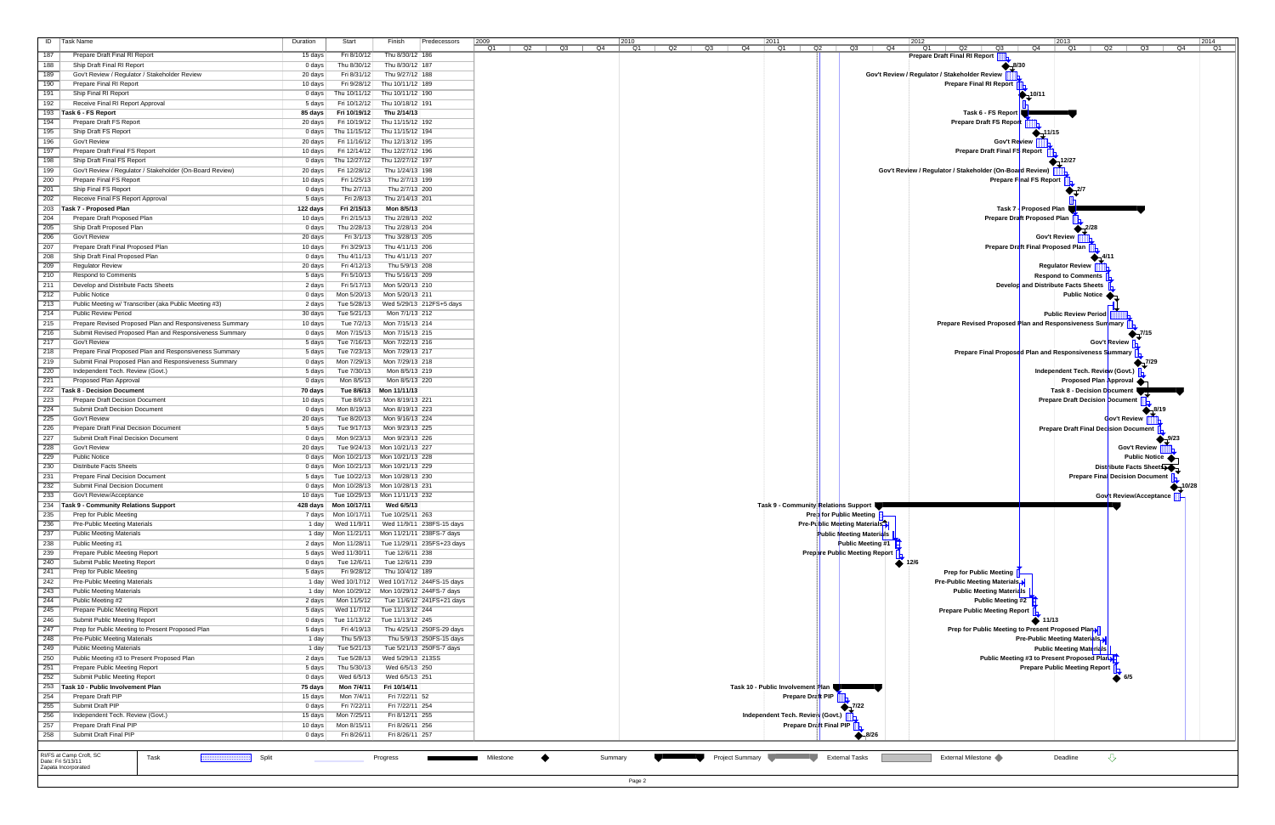| $\blacksquare$<br><b>Task Name</b>                                                                             | Duration          | Start                                                                  | Finish                                 | Predecessors                                         | 2009      |          | 2010     |                 | 2011                              |                                      | 2012<br>2013<br>2014                                                                       |
|----------------------------------------------------------------------------------------------------------------|-------------------|------------------------------------------------------------------------|----------------------------------------|------------------------------------------------------|-----------|----------|----------|-----------------|-----------------------------------|--------------------------------------|--------------------------------------------------------------------------------------------|
| 187<br>Prepare Draft Final RI Report                                                                           | 15 days           | Fri 8/10/12                                                            | Thu 8/30/12   186                      |                                                      | Q1<br>Q2  | Q3<br>Q4 | Q2<br>Q1 | Q3<br>Q4        | Q1                                | Q2<br>$Q3$ $\sqrt{Q4}$               | Q4<br>Q1<br>Q2<br>Q3<br>Q1<br>Q2<br>Q3<br>Q4<br>Q.<br><b>Prepare Draft Final RI Report</b> |
| 188<br>Ship Draft Final RI Report                                                                              | 0 days            | Thu 8/30/12                                                            | Thu 8/30/12 187                        |                                                      |           |          |          |                 |                                   |                                      | $\blacktriangle$ 8/30                                                                      |
| 189<br>Gov't Review / Regulator / Stakeholder Review                                                           | 20 days           | Fri 8/31/12                                                            | Thu 9/27/12 188                        |                                                      |           |          |          |                 |                                   |                                      | Gov't Review / Regulator / Stakeholder Review                                              |
| 190<br>Prepare Final RI Report                                                                                 | 10 days           | Fri 9/28/12                                                            | Thu 10/11/12   189                     |                                                      |           |          |          |                 |                                   |                                      | <b>Prepare Final RI Report</b>                                                             |
| 191<br>Ship Final RI Report<br>192                                                                             | 0 days            | Fri 10/12/12                                                           | Thu 10/11/12 Thu 10/11/12 190          |                                                      |           |          |          |                 |                                   |                                      | $-10/11$                                                                                   |
| Receive Final RI Report Approval<br>193<br>Task 6 - FS Report                                                  | 5 days<br>85 days | Fri 10/19/12                                                           | Thu 10/18/12   191<br>Thu 2/14/13      |                                                      |           |          |          |                 |                                   |                                      | Task 6 - FS Report                                                                         |
| $\overline{194}$<br>Prepare Draft FS Report                                                                    | 20 days           |                                                                        | Fri 10/19/12 Thu 11/15/12 192          |                                                      |           |          |          |                 |                                   |                                      | Prepare Draft FS Report                                                                    |
| 195<br>Ship Draft FS Report                                                                                    | 0 days            |                                                                        | Thu 11/15/12 Thu 11/15/12 194          |                                                      |           |          |          |                 |                                   |                                      |                                                                                            |
| $\overline{196}$<br>Gov't Review                                                                               | 20 days           | Fri 11/16/12                                                           | Thu 12/13/12 195                       |                                                      |           |          |          |                 |                                   |                                      | Gov't Review                                                                               |
| 197<br>Prepare Draft Final FS Report                                                                           | 10 days           |                                                                        | Fri 12/14/12 Thu 12/27/12 196          |                                                      |           |          |          |                 |                                   |                                      | Prepare Draft Final FS Report                                                              |
| $\overline{198}$<br>Ship Draft Final FS Report                                                                 | 0 days            | Thu 12/27/12                                                           | Thu 12/27/12   197                     |                                                      |           |          |          |                 |                                   |                                      | -12/27                                                                                     |
| 199<br>Gov't Review / Regulator / Stakeholder (On-Board Review)<br>$\overline{200}$<br>Prepare Final FS Report | 20 days           | Fri 12/28/12<br>Fri 1/25/13                                            | Thu 1/24/13 198<br>Thu 2/7/13 199      |                                                      |           |          |          |                 |                                   |                                      | Gov't Review / Regulator / Stakeholder (On-Board Review)<br>Prepare Final FS Report        |
| 201<br>Ship Final FS Report                                                                                    | 10 days<br>0 days | Thu 2/7/13                                                             | Thu 2/7/13 200                         |                                                      |           |          |          |                 |                                   |                                      |                                                                                            |
| $\overline{202}$<br>Receive Final FS Report Approval                                                           | 5 days            | Fri 2/8/13                                                             | Thu 2/14/13 201                        |                                                      |           |          |          |                 |                                   |                                      |                                                                                            |
| 203<br>Task 7 - Proposed Plan                                                                                  | 122 days          | Fri 2/15/13                                                            | Mon 8/5/13                             |                                                      |           |          |          |                 |                                   |                                      | Task 7 - Proposed Plan                                                                     |
| $\overline{204}$<br>Prepare Draft Proposed Plan                                                                | 10 days           | Fri 2/15/13                                                            | Thu 2/28/13 202                        |                                                      |           |          |          |                 |                                   |                                      | Prepare Draft Proposed Plan                                                                |
| 205<br>Ship Draft Proposed Plan                                                                                | 0 days            | Thu 2/28/13                                                            | Thu 2/28/13 204                        |                                                      |           |          |          |                 |                                   |                                      |                                                                                            |
| $\overline{206}$<br>Gov't Review                                                                               | 20 days           | Fri 3/1/13                                                             | Thu 3/28/13 205                        |                                                      |           |          |          |                 |                                   |                                      | Gov't Review                                                                               |
| 207<br>Prepare Draft Final Proposed Plan<br>$\overline{208}$                                                   | 10 days           | Fri 3/29/13                                                            | Thu 4/11/13 206                        |                                                      |           |          |          |                 |                                   |                                      | Prepare Draft Final Proposed Plan                                                          |
| Ship Draft Final Proposed Plan<br>209<br><b>Regulator Review</b>                                               | 0 days<br>20 days | Thu 4/11/13<br>Fri 4/12/13                                             | Thu 4/11/13 207<br>Thu 5/9/13 208      |                                                      |           |          |          |                 |                                   |                                      | <b>Regulator Review</b>                                                                    |
| $\overline{210}$<br><b>Respond to Comments</b>                                                                 | 5 days            | Fri 5/10/13                                                            | Thu 5/16/13 209                        |                                                      |           |          |          |                 |                                   |                                      | <b>Respond to Comments</b>                                                                 |
| 211<br>Develop and Distribute Facts Sheets                                                                     | 2 days            | Fri 5/17/13                                                            | Mon 5/20/13 210                        |                                                      |           |          |          |                 |                                   |                                      | Develop and Distribute Facts Sheets                                                        |
| $\overline{212}$<br><b>Public Notice</b>                                                                       | 0 days            | Mon 5/20/13                                                            | Mon 5/20/13 211                        |                                                      |           |          |          |                 |                                   |                                      | <b>Public Notice</b>                                                                       |
| $\overline{213}$<br>Public Meeting w/ Transcriber (aka Public Meeting #3)                                      | 2 days            | Tue 5/28/13                                                            |                                        | Wed 5/29/13 212FS+5 days                             |           |          |          |                 |                                   |                                      |                                                                                            |
| $\overline{214}$<br><b>Public Review Period</b>                                                                | 30 days           | Tue 5/21/13                                                            | Mon 7/1/13 212                         |                                                      |           |          |          |                 |                                   |                                      | <b>Public Review Period</b>                                                                |
| 215<br>Prepare Revised Proposed Plan and Responsiveness Summary                                                | 10 days           | Tue 7/2/13                                                             | Mon 7/15/13 214                        |                                                      |           |          |          |                 |                                   |                                      | Prepare Revised Proposed Plan and Responsiveness Summary                                   |
| $\overline{216}$<br>Submit Revised Proposed Plan and Responsiveness Summary<br>217<br>Gov't Review             | 0 days<br>5 days  | Mon 7/15/13<br>Tue 7/16/13                                             | Mon 7/15/13 215<br>Mon 7/22/13 216     |                                                      |           |          |          |                 |                                   |                                      | $\bullet$ 7/15<br>Gov't Review                                                             |
| $-218$<br>Prepare Final Proposed Plan and Responsiveness Summary                                               | 5 days            | Tue 7/23/13                                                            | Mon 7/29/13 217                        |                                                      |           |          |          |                 |                                   |                                      | Prepare Final Proposed Plan and Responsiveness Summary                                     |
| 219<br>Submit Final Proposed Plan and Responsiveness Summary                                                   | 0 days            | Mon 7/29/13                                                            | Mon 7/29/13 218                        |                                                      |           |          |          |                 |                                   |                                      | -7/29                                                                                      |
| $\overline{220}$<br>Independent Tech. Review (Govt.)                                                           | 5 days            | Tue 7/30/13                                                            | Mon 8/5/13 219                         |                                                      |           |          |          |                 |                                   |                                      | Independent Tech. Review (Govt.)                                                           |
| $\overline{221}$<br>Proposed Plan Approval                                                                     | 0 days            | Mon 8/5/13                                                             | Mon 8/5/13 220                         |                                                      |           |          |          |                 |                                   |                                      | Proposed Plan Approval                                                                     |
| $\overline{222}$<br>Task 8 - Decision Document                                                                 | 70 days           | Tue 8/6/13                                                             | Mon 11/11/13                           |                                                      |           |          |          |                 |                                   |                                      | Task 8 - Decision Document                                                                 |
| $\overline{223}$<br>Prepare Draft Decision Document                                                            | 10 days           | Tue 8/6/13                                                             | Mon 8/19/13 221                        |                                                      |           |          |          |                 |                                   |                                      | <b>Prepare Draft Decision Document</b>                                                     |
| $\overline{224}$<br>Submit Draft Decision Document                                                             | 0 days            | Mon 8/19/13                                                            | Mon 8/19/13 223                        |                                                      |           |          |          |                 |                                   |                                      |                                                                                            |
| 225<br>Gov't Review<br>$\overline{226}$<br>Prepare Draft Final Decision Document                               | 20 days<br>5 days | Tue 8/20/13<br>Tue 9/17/13                                             | Mon 9/16/13 224<br>Mon 9/23/13 225     |                                                      |           |          |          |                 |                                   |                                      | Gov't Review<br><b>Prepare Draft Final Decision Document</b>                               |
| $\overline{227}$<br>Submit Draft Final Decision Document                                                       | 0 days            | Mon 9/23/13                                                            | Mon 9/23/13 226                        |                                                      |           |          |          |                 |                                   |                                      | 9/23                                                                                       |
| $\overline{228}$<br>Gov't Review                                                                               | 20 days           | Tue 9/24/13                                                            | Mon 10/21/13 227                       |                                                      |           |          |          |                 |                                   |                                      | <b>Gov't Review</b>                                                                        |
| 229<br><b>Public Notice</b>                                                                                    | 0 days            | Mon 10/21/13 Mon 10/21/13 228                                          |                                        |                                                      |           |          |          |                 |                                   |                                      | Public Notice                                                                              |
| $\overline{230}$<br><b>Distribute Facts Sheets</b>                                                             | 0 days            |                                                                        | Mon 10/21/13 Mon 10/21/13 229          |                                                      |           |          |          |                 |                                   |                                      | Distribute Facts Sheets                                                                    |
| 231<br>Prepare Final Decision Document                                                                         | 5 days            |                                                                        | Tue 10/22/13 Mon 10/28/13 230          |                                                      |           |          |          |                 |                                   |                                      | <b>Prepare Final Decision Document</b>                                                     |
| 232<br>Submit Final Decision Document<br>233<br>Gov't Review/Acceptance                                        | 0 days            | Mon 10/28/13 Mon 10/28/13 231<br>10 days Tue 10/29/13 Mon 11/11/13 232 |                                        |                                                      |           |          |          |                 |                                   |                                      | 10/28<br>Gov't Review/Acceptance                                                           |
| $\overline{234}$<br>Task 9 - Community Relations Support                                                       | 428 days          | Mon 10/17/11                                                           | Wed 6/5/13                             |                                                      |           |          |          |                 |                                   | Task 9 - Community Relations Support |                                                                                            |
| 235<br>Prep for Public Meeting                                                                                 | 7 days            | Mon 10/17/11 Tue 10/25/11 263                                          |                                        |                                                      |           |          |          |                 |                                   | Pres for Public Meeting              |                                                                                            |
| $\overline{236}$<br><b>Pre-Public Meeting Materials</b>                                                        | 1 day             | Wed 11/9/11                                                            |                                        | Wed 11/9/11 238FS-15 days                            |           |          |          |                 |                                   | <b>Pre-Public Meeting Materials</b>  |                                                                                            |
| $\overline{237}$<br><b>Public Meeting Materials</b>                                                            | 1 day             |                                                                        | Mon 11/21/11 Mon 11/21/11 238FS-7 days |                                                      |           |          |          |                 |                                   | Public Meeting Materials             |                                                                                            |
| $\overline{238}$<br>Public Meeting #1                                                                          | 2 days            | Mon 11/28/11                                                           |                                        | Tue 11/29/11 235FS+23 days                           |           |          |          |                 |                                   | Public Meeting #1                    |                                                                                            |
| 239<br>Prepare Public Meeting Report<br>$\overline{240}$<br>Submit Public Meeting Report                       | 5 days            | Wed 11/30/11<br>Tue 12/6/11                                            | Tue 12/6/11 238<br>Tue 12/6/11 239     |                                                      |           |          |          |                 |                                   | <b>Prepare Public Meeting Report</b> |                                                                                            |
| 241<br>Prep for Public Meeting                                                                                 | 0 days<br>5 days  | Fri 9/28/12                                                            | Thu 10/4/12 189                        |                                                      |           |          |          |                 |                                   | $\bullet$ 12/6                       | <b>Prep for Public Meeting</b>                                                             |
| $\overline{242}$<br>Pre-Public Meeting Materials                                                               | 1 day             | Wed 10/17/12 Wed 10/17/12 244FS-15 days                                |                                        |                                                      |           |          |          |                 |                                   |                                      | Pre-Public Meeting Materials                                                               |
| 243<br><b>Public Meeting Materials</b>                                                                         | 1 day             |                                                                        | Mon 10/29/12 Mon 10/29/12 244FS-7 days |                                                      |           |          |          |                 |                                   |                                      | <b>Public Meeting Materials</b>                                                            |
| $\overline{244}$<br>Public Meeting #2                                                                          | 2 days            | Mon 11/5/12                                                            |                                        | Tue 11/6/12 241FS+21 days                            |           |          |          |                 |                                   |                                      | <b>Public Meeting #2</b>                                                                   |
| 245<br>Prepare Public Meeting Report                                                                           | 5 days            | Wed 11/7/12                                                            | Tue 11/13/12 244                       |                                                      |           |          |          |                 |                                   |                                      | <b>Prepare Public Meeting Report</b>                                                       |
| $\overline{246}$<br>Submit Public Meeting Report                                                               | 0 days            | Tue 11/13/12                                                           | Tue 11/13/12 245                       |                                                      |           |          |          |                 |                                   |                                      | ▶ 11/13                                                                                    |
| $\overline{247}$<br>Prep for Public Meeting to Present Proposed Plan<br>$\overline{248}$                       | 5 days            | Fri 4/19/13                                                            |                                        | Thu 4/25/13 250FS-29 days                            |           |          |          |                 |                                   |                                      | Prep for Public Meeting to Present Proposed Plan                                           |
| Pre-Public Meeting Materials<br>249<br><b>Public Meeting Materials</b>                                         | 1 day<br>1 day    | Thu 5/9/13<br>Tue 5/21/13                                              |                                        | Thu 5/9/13 250FS-15 days<br>Tue 5/21/13 250FS-7 days |           |          |          |                 |                                   |                                      | Pre-Public Meeting Materials<br><b>Public Meeting Materials</b>                            |
| $\overline{250}$<br>Public Meeting #3 to Present Proposed Plan                                                 | 2 days            | Tue 5/28/13                                                            | Wed 5/29/13 213SS                      |                                                      |           |          |          |                 |                                   |                                      | Public Meeting #3 to Present Proposed Plan                                                 |
| 251<br>Prepare Public Meeting Report                                                                           | 5 days            | Thu 5/30/13                                                            | Wed 6/5/13 250                         |                                                      |           |          |          |                 |                                   |                                      | <b>Prepare Public Meeting Report</b>                                                       |
| 252<br>Submit Public Meeting Report                                                                            | 0 days            | Wed 6/5/13                                                             | Wed 6/5/13 251                         |                                                      |           |          |          |                 |                                   |                                      | 6/5                                                                                        |
| $\overline{253}$<br>Task 10 - Public Involvement Plan                                                          | 75 days           | Mon 7/4/11                                                             | Fri 10/14/11                           |                                                      |           |          |          |                 | Task 10 - Public Involvement Plan |                                      |                                                                                            |
| 254<br>Prepare Draft PIP                                                                                       | 15 days           | Mon 7/4/11                                                             | Fri 7/22/11 52                         |                                                      |           |          |          |                 | Prepare Dratt PIP                 |                                      |                                                                                            |
| 255<br>Submit Draft PIP<br>$\overline{256}$<br>Independent Tech. Review (Govt.)                                | 0 days<br>15 days | Fri 7/22/11<br>Mon 7/25/11                                             | Fri 7/22/11 254<br>Fri 8/12/11 255     |                                                      |           |          |          |                 |                                   | -7/22                                |                                                                                            |
| 257<br>Prepare Draft Final PIP                                                                                 | 10 days           | Mon 8/15/11                                                            | Fri 8/26/11 256                        |                                                      |           |          |          |                 | Independent Tech. Review (Govt.)  | <b>Prepare Draft Final PIP</b>       |                                                                                            |
| $\overline{258}$<br>Submit Draft Final PIP                                                                     | 0 days            | Fri 8/26/11                                                            | Fri 8/26/11 257                        |                                                      |           |          |          |                 |                                   | $\bigoplus 8/26$                     |                                                                                            |
|                                                                                                                |                   |                                                                        |                                        |                                                      |           |          |          |                 |                                   |                                      |                                                                                            |
| RI/FS at Camp Croft, SC<br>Split<br>Task                                                                       |                   |                                                                        | Progress                               |                                                      | Milestone | Summary  |          | Project Summary | - 1                               | <b>External Tasks</b>                | ⇩<br>External Milestone<br>Deadline                                                        |
| Date: Fri 5/13/11<br>Zapata Incorporated                                                                       |                   |                                                                        |                                        |                                                      |           |          |          |                 |                                   |                                      |                                                                                            |
|                                                                                                                |                   |                                                                        |                                        |                                                      |           |          | Page 2   |                 |                                   |                                      |                                                                                            |